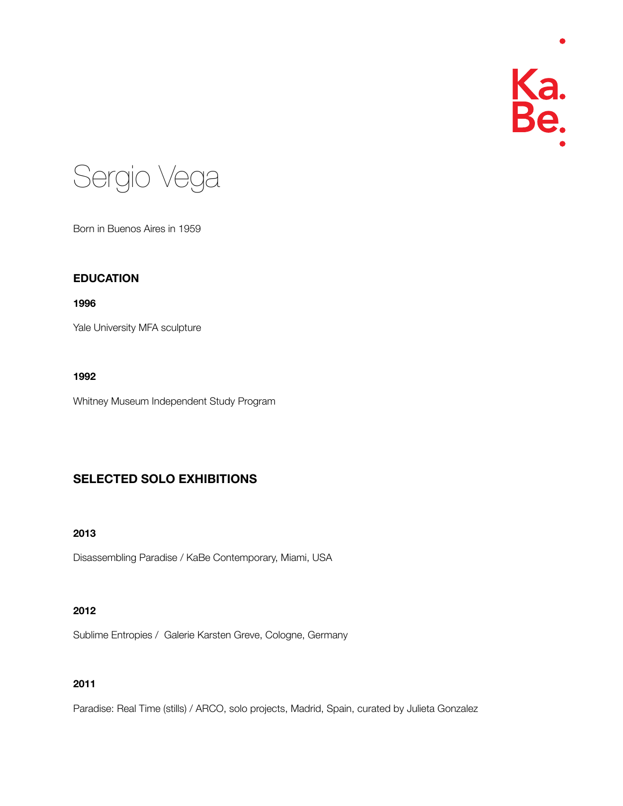



Born in Buenos Aires in 1959

## **EDUCATION**

#### **1996**

Yale University MFA sculpture

## **1992**

Whitney Museum Independent Study Program

# **SELECTED SOLO EXHIBITIONS**

# **2013**

Disassembling Paradise / KaBe Contemporary, Miami, USA

# **2012**

Sublime Entropies / Galerie Karsten Greve, Cologne, Germany

# **2011**

Paradise: Real Time (stills) / ARCO, solo projects, Madrid, Spain, curated by Julieta Gonzalez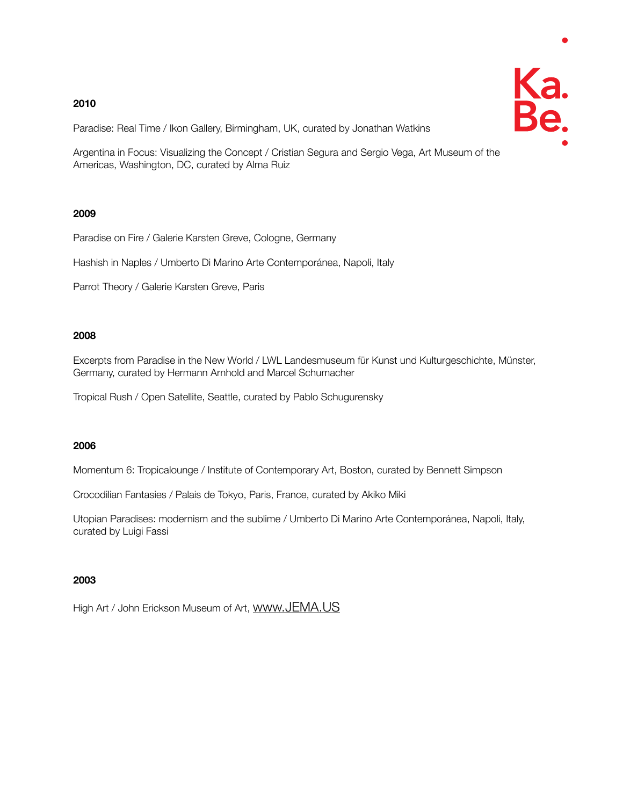Paradise: Real Time / Ikon Gallery, Birmingham, UK, curated by Jonathan Watkins

Argentina in Focus: Visualizing the Concept / Cristian Segura and Sergio Vega, Art Museum of the Americas, Washington, DC, curated by Alma Ruiz

## **2009**

Paradise on Fire / Galerie Karsten Greve, Cologne, Germany

Hashish in Naples / Umberto Di Marino Arte Contemporánea, Napoli, Italy

Parrot Theory / Galerie Karsten Greve, Paris

# **2008**

Excerpts from Paradise in the New World / LWL Landesmuseum für Kunst und Kulturgeschichte, Münster, Germany, curated by Hermann Arnhold and Marcel Schumacher

Tropical Rush / Open Satellite, Seattle, curated by Pablo Schugurensky

## **2006**

Momentum 6: Tropicalounge / Institute of Contemporary Art, Boston, curated by Bennett Simpson

Crocodilian Fantasies / Palais de Tokyo, Paris, France, curated by Akiko Miki

Utopian Paradises: modernism and the sublime / Umberto Di Marino Arte Contemporánea, Napoli, Italy, curated by Luigi Fassi

# **2003**

High Art / John Erickson Museum of Art, WWW.JEMA.US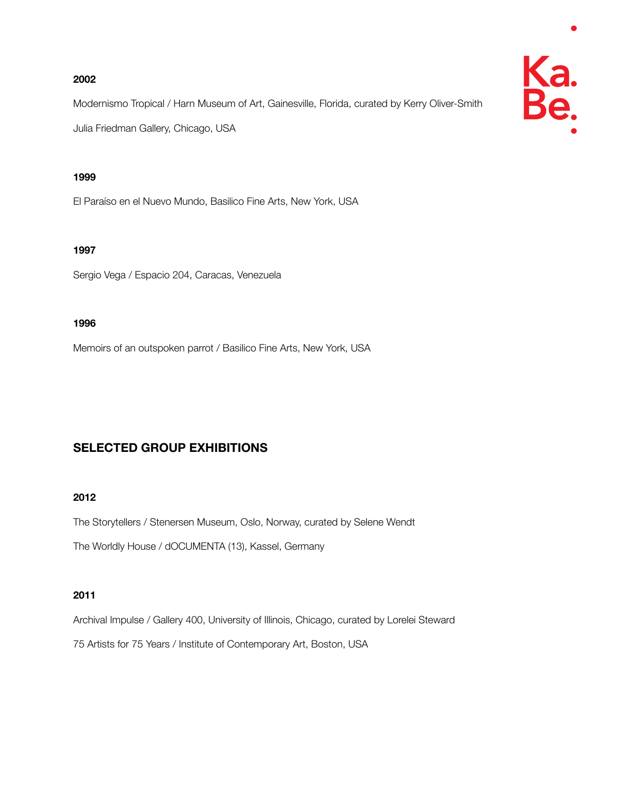Modernismo Tropical / Harn Museum of Art, Gainesville, Florida, curated by Kerry Oliver-Smith Julia Friedman Gallery, Chicago, USA

## **1999**

El Paraíso en el Nuevo Mundo, Basilico Fine Arts, New York, USA

## **1997**

Sergio Vega / Espacio 204, Caracas, Venezuela

## **1996**

Memoirs of an outspoken parrot / Basilico Fine Arts, New York, USA

# **SELECTED GROUP EXHIBITIONS**

## **2012**

The Storytellers / Stenersen Museum, Oslo, Norway, curated by Selene Wendt

The Worldly House / dOCUMENTA (13), Kassel, Germany

# **2011**

Archival Impulse / Gallery 400, University of Illinois, Chicago, curated by Lorelei Steward

75 Artists for 75 Years / Institute of Contemporary Art, Boston, USA

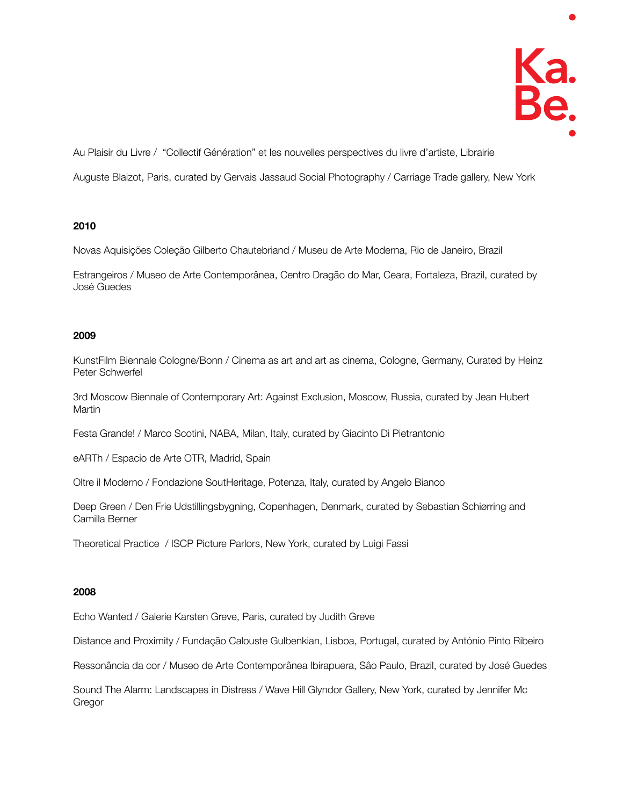Au Plaisir du Livre / "Collectif Génération" et les nouvelles perspectives du livre d'artiste, Librairie

Auguste Blaizot, Paris, curated by Gervais Jassaud Social Photography / Carriage Trade gallery, New York

## **2010**

Novas Aquisições Coleção Gilberto Chautebriand / Museu de Arte Moderna, Rio de Janeiro, Brazil

Estrangeiros / Museo de Arte Contemporânea, Centro Dragão do Mar, Ceara, Fortaleza, Brazil, curated by José Guedes

## **2009**

KunstFilm Biennale Cologne/Bonn / Cinema as art and art as cinema, Cologne, Germany, Curated by Heinz Peter Schwerfel

3rd Moscow Biennale of Contemporary Art: Against Exclusion, Moscow, Russia, curated by Jean Hubert **Martin** 

Festa Grande! / Marco Scotini, NABA, Milan, Italy, curated by Giacinto Di Pietrantonio

eARTh / Espacio de Arte OTR, Madrid, Spain

Oltre il Moderno / Fondazione SoutHeritage, Potenza, Italy, curated by Angelo Bianco

Deep Green / Den Frie Udstillingsbygning, Copenhagen, Denmark, curated by Sebastian Schiørring and Camilla Berner

Theoretical Practice / ISCP Picture Parlors, New York, curated by Luigi Fassi

#### **2008**

Echo Wanted / Galerie Karsten Greve, Paris, curated by Judith Greve

Distance and Proximity / Fundação Calouste Gulbenkian, Lisboa, Portugal, curated by António Pinto Ribeiro

Ressonância da cor / Museo de Arte Contemporânea Ibirapuera, Sâo Paulo, Brazil, curated by José Guedes

Sound The Alarm: Landscapes in Distress / Wave Hill Glyndor Gallery, New York, curated by Jennifer Mc Gregor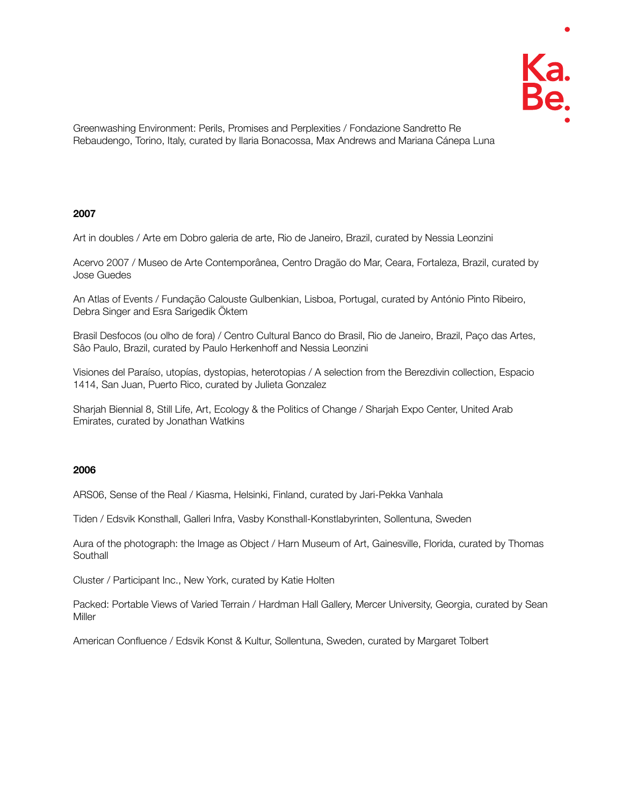

Greenwashing Environment: Perils, Promises and Perplexities / Fondazione Sandretto Re Rebaudengo, Torino, Italy, curated by Ilaria Bonacossa, Max Andrews and Mariana Cánepa Luna

#### **2007**

Art in doubles / Arte em Dobro galeria de arte, Rio de Janeiro, Brazil, curated by Nessia Leonzini

Acervo 2007 / Museo de Arte Contemporânea, Centro Dragão do Mar, Ceara, Fortaleza, Brazil, curated by Jose Guedes

An Atlas of Events / Fundação Calouste Gulbenkian, Lisboa, Portugal, curated by António Pinto Ribeiro, Debra Singer and Esra Sarigedik Öktem

Brasil Desfocos (ou olho de fora) / Centro Cultural Banco do Brasil, Rio de Janeiro, Brazil, Paço das Artes, Sâo Paulo, Brazil, curated by Paulo Herkenhoff and Nessia Leonzini

Visiones del Paraíso, utopías, dystopias, heterotopias / A selection from the Berezdivin collection, Espacio 1414, San Juan, Puerto Rico, curated by Julieta Gonzalez

Sharjah Biennial 8, Still Life, Art, Ecology & the Politics of Change / Sharjah Expo Center, United Arab Emirates, curated by Jonathan Watkins

#### **2006**

ARS06, Sense of the Real / Kiasma, Helsinki, Finland, curated by Jari-Pekka Vanhala

Tiden / Edsvik Konsthall, Galleri Infra, Vasby Konsthall-Konstlabyrinten, Sollentuna, Sweden

Aura of the photograph: the Image as Object / Harn Museum of Art, Gainesville, Florida, curated by Thomas **Southall** 

Cluster / Participant Inc., New York, curated by Katie Holten

Packed: Portable Views of Varied Terrain / Hardman Hall Gallery, Mercer University, Georgia, curated by Sean **Miller** 

American Confluence / Edsvik Konst & Kultur, Sollentuna, Sweden, curated by Margaret Tolbert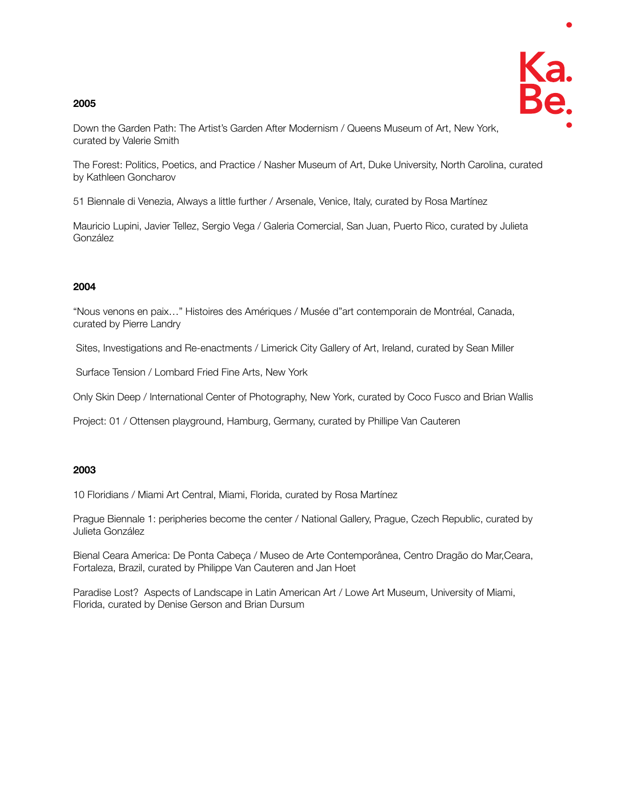

Down the Garden Path: The Artist's Garden After Modernism / Queens Museum of Art, New York, curated by Valerie Smith

The Forest: Politics, Poetics, and Practice / Nasher Museum of Art, Duke University, North Carolina, curated by Kathleen Goncharov

51 Biennale di Venezia, Always a little further / Arsenale, Venice, Italy, curated by Rosa Martínez

Mauricio Lupini, Javier Tellez, Sergio Vega / Galeria Comercial, San Juan, Puerto Rico, curated by Julieta González

## **2004**

"Nous venons en paix…" Histoires des Amériques / Musée d"art contemporain de Montréal, Canada, curated by Pierre Landry

Sites, Investigations and Re-enactments / Limerick City Gallery of Art, Ireland, curated by Sean Miller

Surface Tension / Lombard Fried Fine Arts, New York

Only Skin Deep / International Center of Photography, New York, curated by Coco Fusco and Brian Wallis

Project: 01 / Ottensen playground, Hamburg, Germany, curated by Phillipe Van Cauteren

## **2003**

10 Floridians / Miami Art Central, Miami, Florida, curated by Rosa Martínez

Prague Biennale 1: peripheries become the center / National Gallery, Prague, Czech Republic, curated by Julieta González

Bienal Ceara America: De Ponta Cabeça / Museo de Arte Contemporânea, Centro Dragão do Mar,Ceara, Fortaleza, Brazil, curated by Philippe Van Cauteren and Jan Hoet

Paradise Lost? Aspects of Landscape in Latin American Art / Lowe Art Museum, University of Miami, Florida, curated by Denise Gerson and Brian Dursum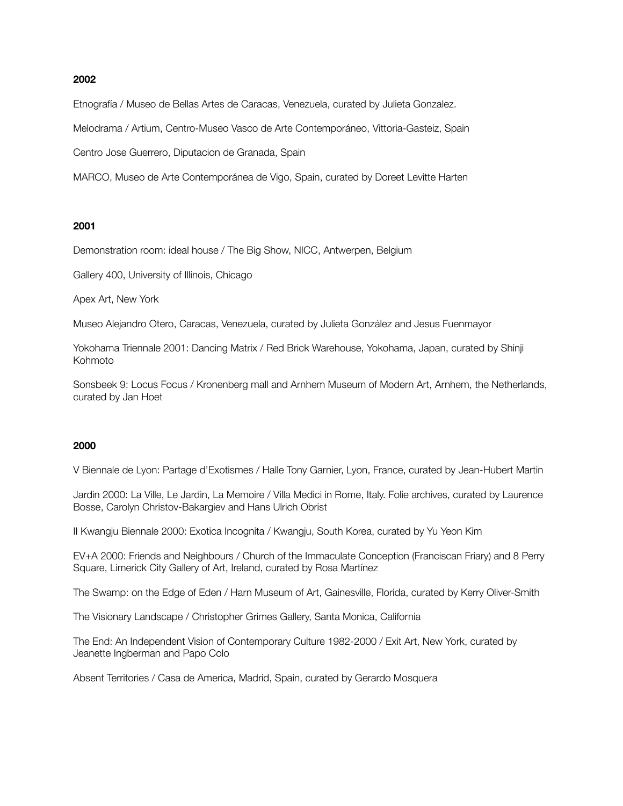Etnografía / Museo de Bellas Artes de Caracas, Venezuela, curated by Julieta Gonzalez.

Melodrama / Artium, Centro-Museo Vasco de Arte Contemporáneo, Vittoria-Gasteiz, Spain

Centro Jose Guerrero, Diputacion de Granada, Spain

MARCO, Museo de Arte Contemporánea de Vigo, Spain, curated by Doreet Levitte Harten

#### **2001**

Demonstration room: ideal house / The Big Show, NICC, Antwerpen, Belgium

Gallery 400, University of Illinois, Chicago

Apex Art, New York

Museo Alejandro Otero, Caracas, Venezuela, curated by Julieta González and Jesus Fuenmayor

Yokohama Triennale 2001: Dancing Matrix / Red Brick Warehouse, Yokohama, Japan, curated by Shinji Kohmoto

Sonsbeek 9: Locus Focus / Kronenberg mall and Arnhem Museum of Modern Art, Arnhem, the Netherlands, curated by Jan Hoet

#### **2000**

V Biennale de Lyon: Partage d'Exotismes / Halle Tony Garnier, Lyon, France, curated by Jean-Hubert Martin

Jardin 2000: La Ville, Le Jardin, La Memoire / Villa Medici in Rome, Italy. Folie archives, curated by Laurence Bosse, Carolyn Christov-Bakargiev and Hans Ulrich Obrist

II Kwangju Biennale 2000: Exotica Incognita / Kwangju, South Korea, curated by Yu Yeon Kim

EV+A 2000: Friends and Neighbours / Church of the Immaculate Conception (Franciscan Friary) and 8 Perry Square, Limerick City Gallery of Art, Ireland, curated by Rosa Martínez

The Swamp: on the Edge of Eden / Harn Museum of Art, Gainesville, Florida, curated by Kerry Oliver-Smith

The Visionary Landscape / Christopher Grimes Gallery, Santa Monica, California

The End: An Independent Vision of Contemporary Culture 1982-2000 / Exit Art, New York, curated by Jeanette Ingberman and Papo Colo

Absent Territories / Casa de America, Madrid, Spain, curated by Gerardo Mosquera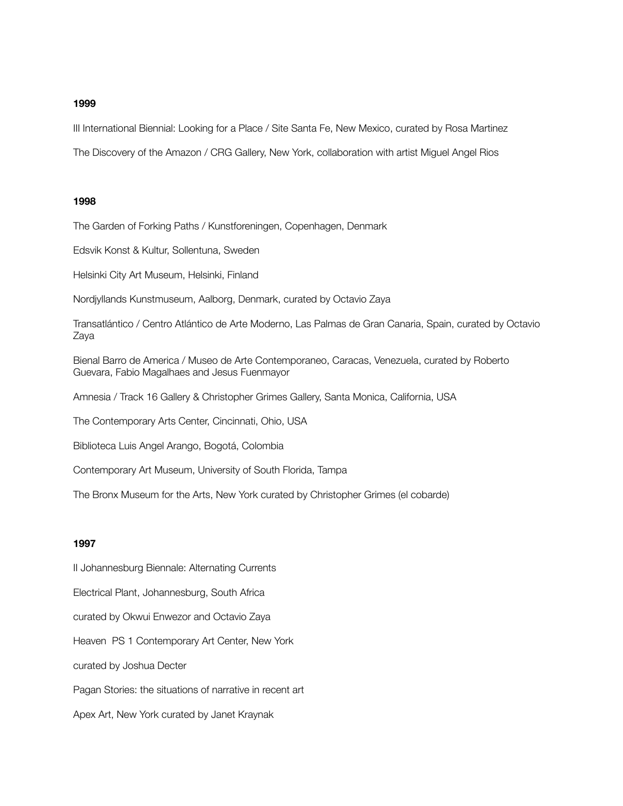III International Biennial: Looking for a Place / Site Santa Fe, New Mexico, curated by Rosa Martinez

The Discovery of the Amazon / CRG Gallery, New York, collaboration with artist Miguel Angel Rios

#### **1998**

The Garden of Forking Paths / Kunstforeningen, Copenhagen, Denmark

Edsvik Konst & Kultur, Sollentuna, Sweden

Helsinki City Art Museum, Helsinki, Finland

Nordjyllands Kunstmuseum, Aalborg, Denmark, curated by Octavio Zaya

Transatlántico / Centro Atlántico de Arte Moderno, Las Palmas de Gran Canaria, Spain, curated by Octavio Zaya

Bienal Barro de America / Museo de Arte Contemporaneo, Caracas, Venezuela, curated by Roberto Guevara, Fabio Magalhaes and Jesus Fuenmayor

Amnesia / Track 16 Gallery & Christopher Grimes Gallery, Santa Monica, California, USA

The Contemporary Arts Center, Cincinnati, Ohio, USA

Biblioteca Luis Angel Arango, Bogotá, Colombia

Contemporary Art Museum, University of South Florida, Tampa

The Bronx Museum for the Arts, New York curated by Christopher Grimes (el cobarde)

#### **1997**

II Johannesburg Biennale: Alternating Currents Electrical Plant, Johannesburg, South Africa curated by Okwui Enwezor and Octavio Zaya Heaven PS 1 Contemporary Art Center, New York curated by Joshua Decter Pagan Stories: the situations of narrative in recent art Apex Art, New York curated by Janet Kraynak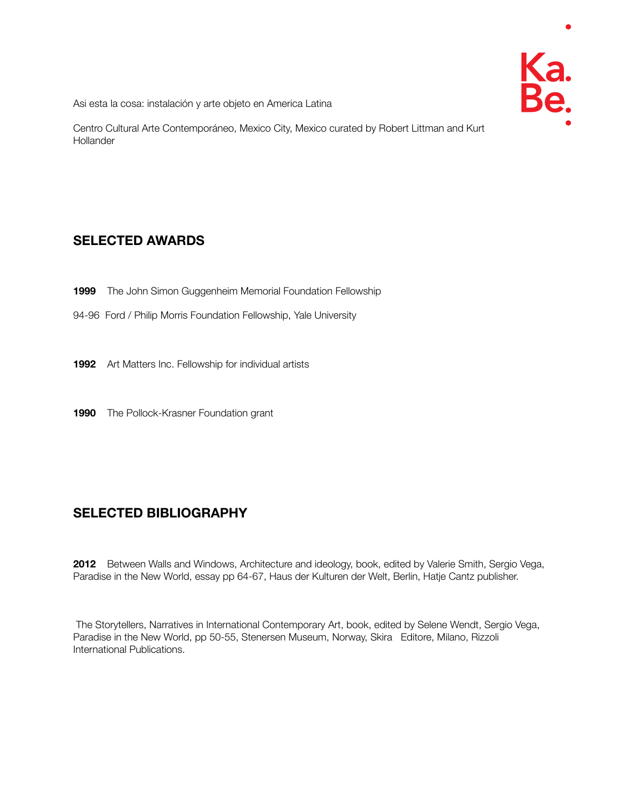

Asi esta la cosa: instalación y arte objeto en America Latina

Centro Cultural Arte Contemporáneo, Mexico City, Mexico curated by Robert Littman and Kurt **Hollander** 

# **SELECTED AWARDS**

- **1999** The John Simon Guggenheim Memorial Foundation Fellowship
- 94-96 Ford / Philip Morris Foundation Fellowship, Yale University
- **1992** Art Matters Inc. Fellowship for individual artists
- **1990** The Pollock-Krasner Foundation grant

# **SELECTED BIBLIOGRAPHY**

**2012** Between Walls and Windows, Architecture and ideology, book, edited by Valerie Smith, Sergio Vega, Paradise in the New World, essay pp 64-67, Haus der Kulturen der Welt, Berlin, Hatje Cantz publisher.

 The Storytellers, Narratives in International Contemporary Art, book, edited by Selene Wendt, Sergio Vega, Paradise in the New World, pp 50-55, Stenersen Museum, Norway, Skira Editore, Milano, Rizzoli International Publications.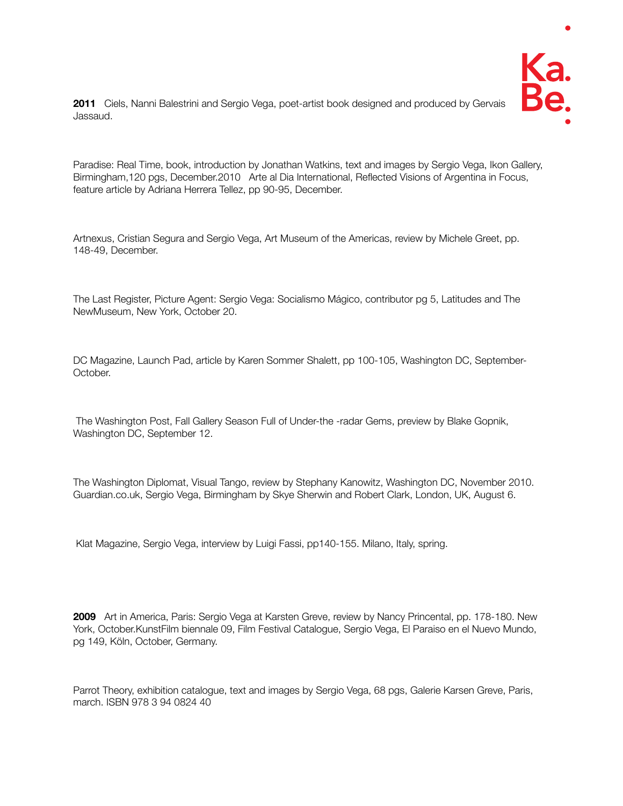

**2011** Ciels, Nanni Balestrini and Sergio Vega, poet-artist book designed and produced by Gervais Jassaud.

Paradise: Real Time, book, introduction by Jonathan Watkins, text and images by Sergio Vega, Ikon Gallery, Birmingham,120 pgs, December.2010 Arte al Dia International, Reflected Visions of Argentina in Focus, feature article by Adriana Herrera Tellez, pp 90-95, December.

Artnexus, Cristian Segura and Sergio Vega, Art Museum of the Americas, review by Michele Greet, pp. 148-49, December.

The Last Register, Picture Agent: Sergio Vega: Socialismo Mágico, contributor pg 5, Latitudes and The NewMuseum, New York, October 20.

DC Magazine, Launch Pad, article by Karen Sommer Shalett, pp 100-105, Washington DC, September-October.

 The Washington Post, Fall Gallery Season Full of Under-the -radar Gems, preview by Blake Gopnik, Washington DC, September 12.

The Washington Diplomat, Visual Tango, review by Stephany Kanowitz, Washington DC, November 2010. Guardian.co.uk, Sergio Vega, Birmingham by Skye Sherwin and Robert Clark, London, UK, August 6.

Klat Magazine, Sergio Vega, interview by Luigi Fassi, pp140-155. Milano, Italy, spring.

**2009** Art in America, Paris: Sergio Vega at Karsten Greve, review by Nancy Princental, pp. 178-180. New York, October.KunstFilm biennale 09, Film Festival Catalogue, Sergio Vega, El Paraiso en el Nuevo Mundo, pg 149, Köln, October, Germany.

Parrot Theory, exhibition catalogue, text and images by Sergio Vega, 68 pgs, Galerie Karsen Greve, Paris, march. ISBN 978 3 94 0824 40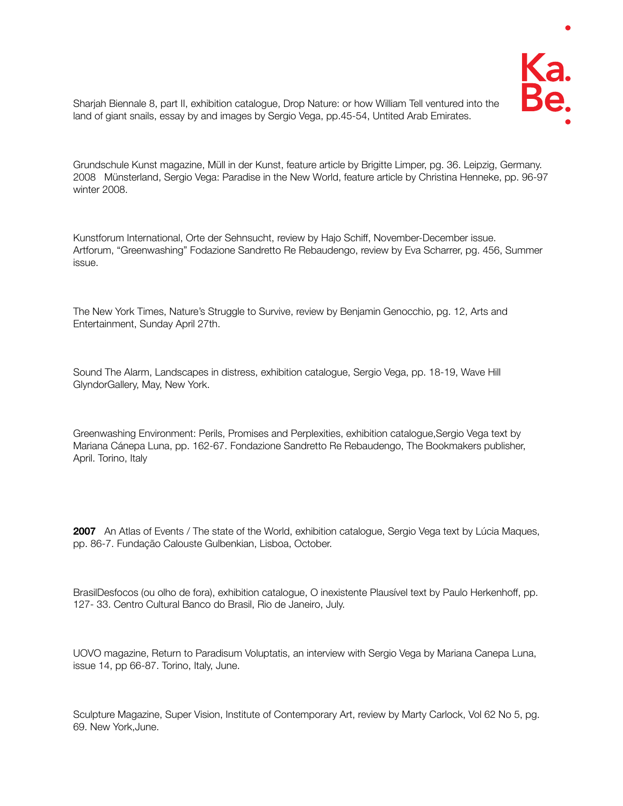

Sharjah Biennale 8, part II, exhibition catalogue, Drop Nature: or how William Tell ventured into the land of giant snails, essay by and images by Sergio Vega, pp.45-54, Untited Arab Emirates.

Grundschule Kunst magazine, Müll in der Kunst, feature article by Brigitte Limper, pg. 36. Leipzig, Germany. 2008 Münsterland, Sergio Vega: Paradise in the New World, feature article by Christina Henneke, pp. 96-97 winter 2008.

Kunstforum International, Orte der Sehnsucht, review by Hajo Schiff, November-December issue. Artforum, "Greenwashing" Fodazione Sandretto Re Rebaudengo, review by Eva Scharrer, pg. 456, Summer issue.

The New York Times, Nature's Struggle to Survive, review by Benjamin Genocchio, pg. 12, Arts and Entertainment, Sunday April 27th.

Sound The Alarm, Landscapes in distress, exhibition catalogue, Sergio Vega, pp. 18-19, Wave Hill GlyndorGallery, May, New York.

Greenwashing Environment: Perils, Promises and Perplexities, exhibition catalogue,Sergio Vega text by Mariana Cánepa Luna, pp. 162-67. Fondazione Sandretto Re Rebaudengo, The Bookmakers publisher, April. Torino, Italy

**2007** An Atlas of Events / The state of the World, exhibition catalogue, Sergio Vega text by Lúcia Maques, pp. 86-7. Fundação Calouste Gulbenkian, Lisboa, October.

BrasilDesfocos (ou olho de fora), exhibition catalogue, O inexistente Plausível text by Paulo Herkenhoff, pp. 127- 33. Centro Cultural Banco do Brasil, Rio de Janeiro, July.

UOVO magazine, Return to Paradisum Voluptatis, an interview with Sergio Vega by Mariana Canepa Luna, issue 14, pp 66-87. Torino, Italy, June.

Sculpture Magazine, Super Vision, Institute of Contemporary Art, review by Marty Carlock, Vol 62 No 5, pg. 69. New York,June.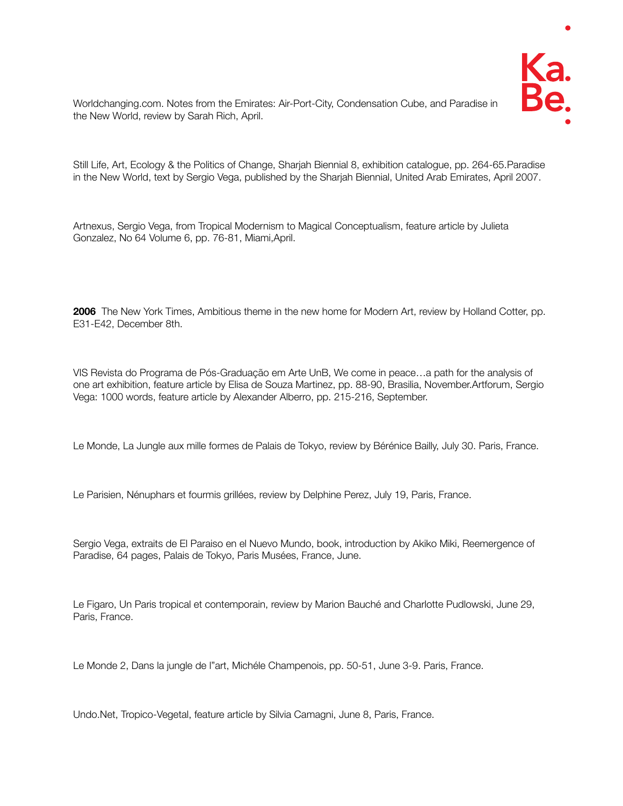

Worldchanging.com. Notes from the Emirates: Air-Port-City, Condensation Cube, and Paradise in the New World, review by Sarah Rich, April.

Still Life, Art, Ecology & the Politics of Change, Sharjah Biennial 8, exhibition catalogue, pp. 264-65.Paradise in the New World, text by Sergio Vega, published by the Sharjah Biennial, United Arab Emirates, April 2007.

Artnexus, Sergio Vega, from Tropical Modernism to Magical Conceptualism, feature article by Julieta Gonzalez, No 64 Volume 6, pp. 76-81, Miami,April.

**2006** The New York Times, Ambitious theme in the new home for Modern Art, review by Holland Cotter, pp. E31-E42, December 8th.

VIS Revista do Programa de Pós-Graduação em Arte UnB, We come in peace…a path for the analysis of one art exhibition, feature article by Elisa de Souza Martinez, pp. 88-90, Brasilia, November.Artforum, Sergio Vega: 1000 words, feature article by Alexander Alberro, pp. 215-216, September.

Le Monde, La Jungle aux mille formes de Palais de Tokyo, review by Bérénice Bailly, July 30. Paris, France.

Le Parisien, Nénuphars et fourmis grillées, review by Delphine Perez, July 19, Paris, France.

Sergio Vega, extraits de El Paraiso en el Nuevo Mundo, book, introduction by Akiko Miki, Reemergence of Paradise, 64 pages, Palais de Tokyo, Paris Musées, France, June.

Le Figaro, Un Paris tropical et contemporain, review by Marion Bauché and Charlotte Pudlowski, June 29, Paris, France.

Le Monde 2, Dans la jungle de l"art, Michéle Champenois, pp. 50-51, June 3-9. Paris, France.

Undo.Net, Tropico-Vegetal, feature article by Silvia Camagni, June 8, Paris, France.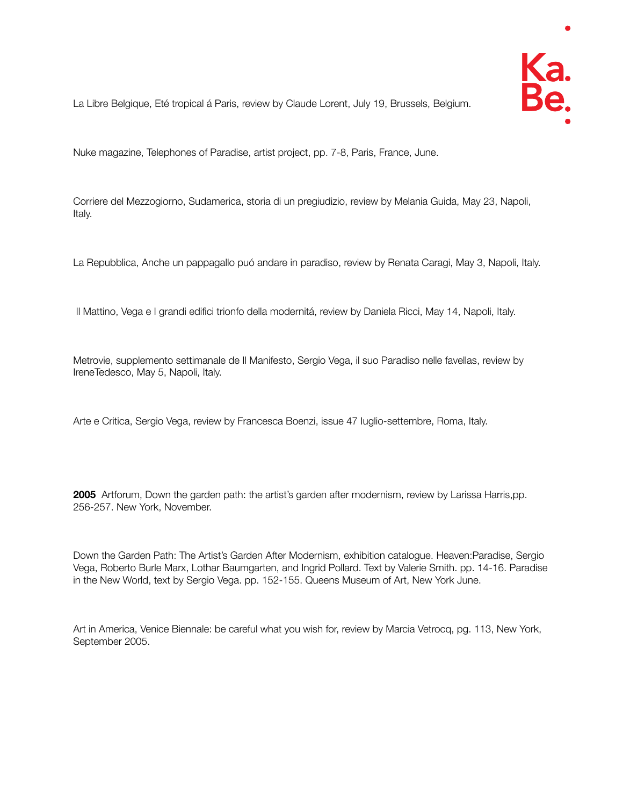

La Libre Belgique, Eté tropical á Paris, review by Claude Lorent, July 19, Brussels, Belgium.

Nuke magazine, Telephones of Paradise, artist project, pp. 7-8, Paris, France, June.

Corriere del Mezzogiorno, Sudamerica, storia di un pregiudizio, review by Melania Guida, May 23, Napoli, Italy.

La Repubblica, Anche un pappagallo puó andare in paradiso, review by Renata Caragi, May 3, Napoli, Italy.

Il Mattino, Vega e I grandi edifici trionfo della modernitá, review by Daniela Ricci, May 14, Napoli, Italy.

Metrovie, supplemento settimanale de Il Manifesto, Sergio Vega, il suo Paradiso nelle favellas, review by IreneTedesco, May 5, Napoli, Italy.

Arte e Critica, Sergio Vega, review by Francesca Boenzi, issue 47 Iuglio-settembre, Roma, Italy.

**2005** Artforum, Down the garden path: the artist's garden after modernism, review by Larissa Harris,pp. 256-257. New York, November.

Down the Garden Path: The Artist's Garden After Modernism, exhibition catalogue. Heaven:Paradise, Sergio Vega, Roberto Burle Marx, Lothar Baumgarten, and Ingrid Pollard. Text by Valerie Smith. pp. 14-16. Paradise in the New World, text by Sergio Vega. pp. 152-155. Queens Museum of Art, New York June.

Art in America, Venice Biennale: be careful what you wish for, review by Marcia Vetrocq, pg. 113, New York, September 2005.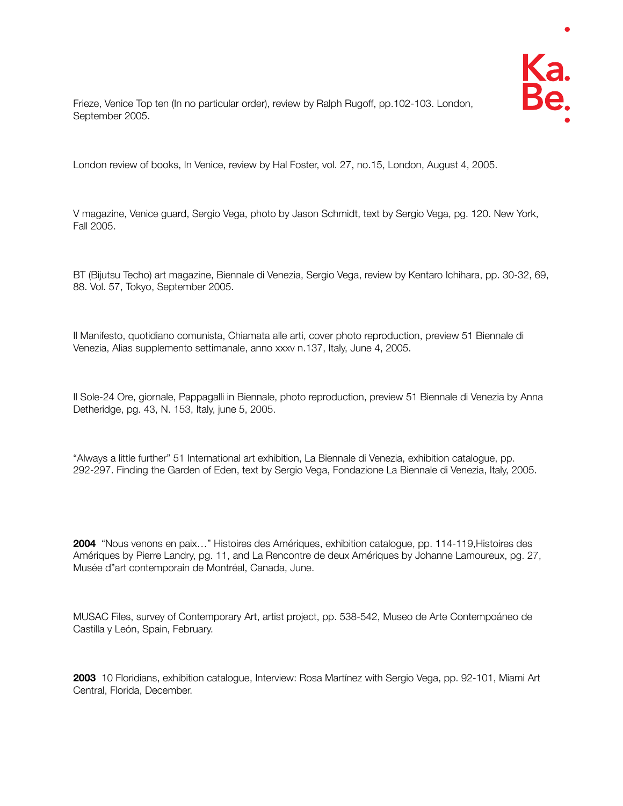

Frieze, Venice Top ten (In no particular order), review by Ralph Rugoff, pp.102-103. London, September 2005.

London review of books, In Venice, review by Hal Foster, vol. 27, no.15, London, August 4, 2005.

V magazine, Venice guard, Sergio Vega, photo by Jason Schmidt, text by Sergio Vega, pg. 120. New York, Fall 2005.

BT (Bijutsu Techo) art magazine, Biennale di Venezia, Sergio Vega, review by Kentaro Ichihara, pp. 30-32, 69, 88. Vol. 57, Tokyo, September 2005.

Il Manifesto, quotidiano comunista, Chiamata alle arti, cover photo reproduction, preview 51 Biennale di Venezia, Alias supplemento settimanale, anno xxxv n.137, Italy, June 4, 2005.

Il Sole-24 Ore, giornale, Pappagalli in Biennale, photo reproduction, preview 51 Biennale di Venezia by Anna Detheridge, pg. 43, N. 153, Italy, june 5, 2005.

"Always a little further" 51 International art exhibition, La Biennale di Venezia, exhibition catalogue, pp. 292-297. Finding the Garden of Eden, text by Sergio Vega, Fondazione La Biennale di Venezia, Italy, 2005.

**2004** "Nous venons en paix…" Histoires des Amériques, exhibition catalogue, pp. 114-119,Histoires des Amériques by Pierre Landry, pg. 11, and La Rencontre de deux Amériques by Johanne Lamoureux, pg. 27, Musée d"art contemporain de Montréal, Canada, June.

MUSAC Files, survey of Contemporary Art, artist project, pp. 538-542, Museo de Arte Contempoáneo de Castilla y León, Spain, February.

**2003** 10 Floridians, exhibition catalogue, Interview: Rosa Martínez with Sergio Vega, pp. 92-101, Miami Art Central, Florida, December.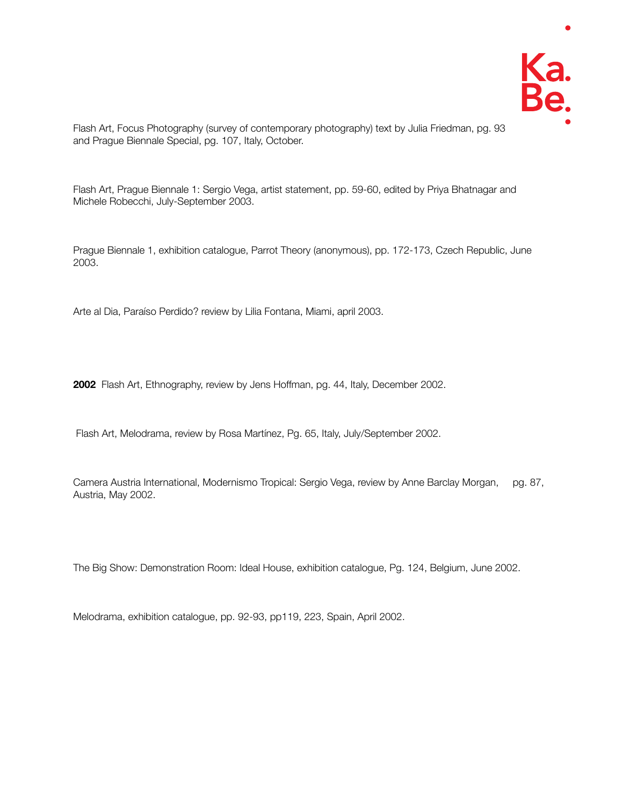

Flash Art, Focus Photography (survey of contemporary photography) text by Julia Friedman, pg. 93 and Prague Biennale Special, pg. 107, Italy, October.

Flash Art, Prague Biennale 1: Sergio Vega, artist statement, pp. 59-60, edited by Priya Bhatnagar and Michele Robecchi, July-September 2003.

Prague Biennale 1, exhibition catalogue, Parrot Theory (anonymous), pp. 172-173, Czech Republic, June 2003.

Arte al Dia, Paraíso Perdido? review by Lilia Fontana, Miami, april 2003.

**2002** Flash Art, Ethnography, review by Jens Hoffman, pg. 44, Italy, December 2002.

Flash Art, Melodrama, review by Rosa Martínez, Pg. 65, Italy, July/September 2002.

Camera Austria International, Modernismo Tropical: Sergio Vega, review by Anne Barclay Morgan, pg. 87, Austria, May 2002.

The Big Show: Demonstration Room: Ideal House, exhibition catalogue, Pg. 124, Belgium, June 2002.

Melodrama, exhibition catalogue, pp. 92-93, pp119, 223, Spain, April 2002.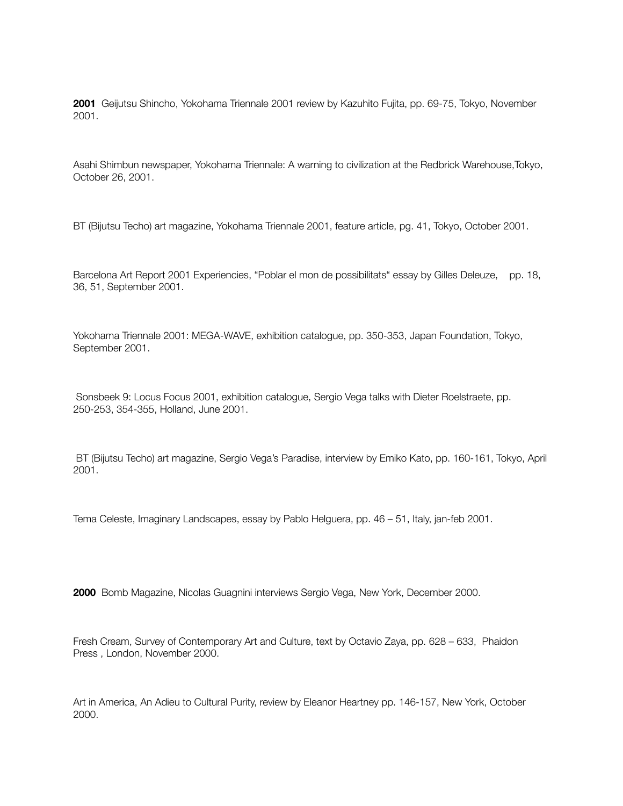**2001** Geijutsu Shincho, Yokohama Triennale 2001 review by Kazuhito Fujita, pp. 69-75, Tokyo, November 2001.

Asahi Shimbun newspaper, Yokohama Triennale: A warning to civilization at the Redbrick Warehouse,Tokyo, October 26, 2001.

BT (Bijutsu Techo) art magazine, Yokohama Triennale 2001, feature article, pg. 41, Tokyo, October 2001.

Barcelona Art Report 2001 Experiencies, "Poblar el mon de possibilitats" essay by Gilles Deleuze, pp. 18, 36, 51, September 2001.

Yokohama Triennale 2001: MEGA-WAVE, exhibition catalogue, pp. 350-353, Japan Foundation, Tokyo, September 2001.

 Sonsbeek 9: Locus Focus 2001, exhibition catalogue, Sergio Vega talks with Dieter Roelstraete, pp. 250-253, 354-355, Holland, June 2001.

 BT (Bijutsu Techo) art magazine, Sergio Vega's Paradise, interview by Emiko Kato, pp. 160-161, Tokyo, April 2001.

Tema Celeste, Imaginary Landscapes, essay by Pablo Helguera, pp. 46 – 51, Italy, jan-feb 2001.

**2000** Bomb Magazine, Nicolas Guagnini interviews Sergio Vega, New York, December 2000.

Fresh Cream, Survey of Contemporary Art and Culture, text by Octavio Zaya, pp. 628 – 633, Phaidon Press , London, November 2000.

Art in America, An Adieu to Cultural Purity, review by Eleanor Heartney pp. 146-157, New York, October 2000.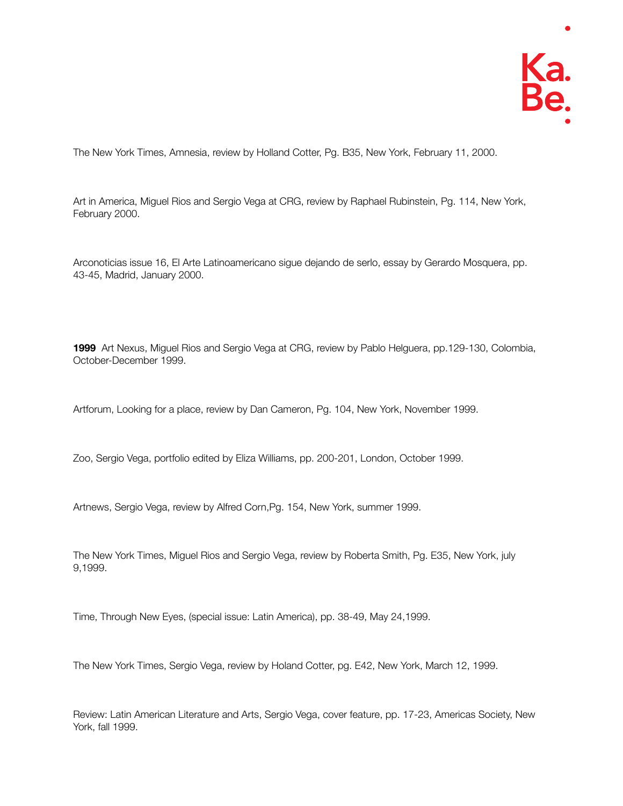The New York Times, Amnesia, review by Holland Cotter, Pg. B35, New York, February 11, 2000.

Art in America, Miguel Rios and Sergio Vega at CRG, review by Raphael Rubinstein, Pg. 114, New York, February 2000.

Arconoticias issue 16, El Arte Latinoamericano sigue dejando de serlo, essay by Gerardo Mosquera, pp. 43-45, Madrid, January 2000.

**1999** Art Nexus, Miguel Rios and Sergio Vega at CRG, review by Pablo Helguera, pp.129-130, Colombia, October-December 1999.

Artforum, Looking for a place, review by Dan Cameron, Pg. 104, New York, November 1999.

Zoo, Sergio Vega, portfolio edited by Eliza Williams, pp. 200-201, London, October 1999.

Artnews, Sergio Vega, review by Alfred Corn,Pg. 154, New York, summer 1999.

The New York Times, Miguel Rios and Sergio Vega, review by Roberta Smith, Pg. E35, New York, july 9,1999.

Time, Through New Eyes, (special issue: Latin America), pp. 38-49, May 24,1999.

The New York Times, Sergio Vega, review by Holand Cotter, pg. E42, New York, March 12, 1999.

Review: Latin American Literature and Arts, Sergio Vega, cover feature, pp. 17-23, Americas Society, New York, fall 1999.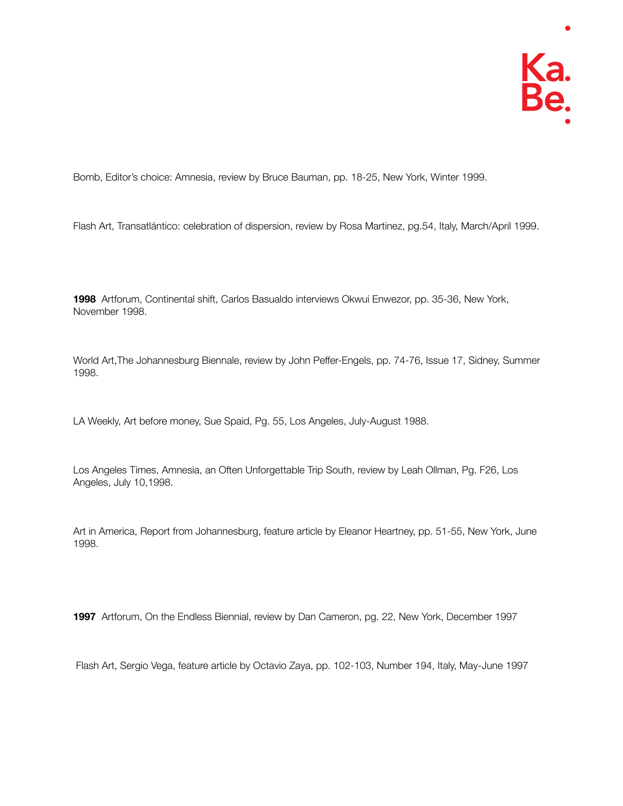Bomb, Editor's choice: Amnesia, review by Bruce Bauman, pp. 18-25, New York, Winter 1999.

Flash Art, Transatlántico: celebration of dispersion, review by Rosa Martinez, pg.54, Italy, March/April 1999.

**1998** Artforum, Continental shift, Carlos Basualdo interviews Okwui Enwezor, pp. 35-36, New York, November 1998.

World Art,The Johannesburg Biennale, review by John Peffer-Engels, pp. 74-76, Issue 17, Sidney, Summer 1998.

LA Weekly, Art before money, Sue Spaid, Pg. 55, Los Angeles, July-August 1988.

Los Angeles Times, Amnesia, an Often Unforgettable Trip South, review by Leah Ollman, Pg. F26, Los Angeles, July 10,1998.

Art in America, Report from Johannesburg, feature article by Eleanor Heartney, pp. 51-55, New York, June 1998.

**1997** Artforum, On the Endless Biennial, review by Dan Cameron, pg. 22, New York, December 1997

Flash Art, Sergio Vega, feature article by Octavio Zaya, pp. 102-103, Number 194, Italy, May-June 1997